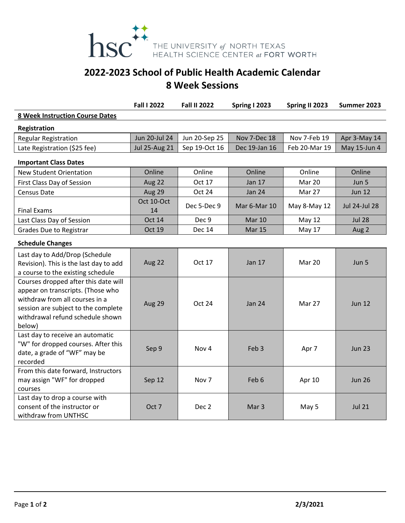

## **2022‐2023 School of Public Health Academic Calendar 8 Week Sessions**

|                                                                                                                                                                                                  | <b>Fall I 2022</b>   | <b>Fall II 2022</b> | <b>Spring I 2023</b> | Spring II 2023 | Summer 2023          |  |
|--------------------------------------------------------------------------------------------------------------------------------------------------------------------------------------------------|----------------------|---------------------|----------------------|----------------|----------------------|--|
| <b>8 Week Instruction Course Dates</b>                                                                                                                                                           |                      |                     |                      |                |                      |  |
| Registration                                                                                                                                                                                     |                      |                     |                      |                |                      |  |
| <b>Regular Registration</b>                                                                                                                                                                      | Jun 20-Jul 24        | Jun 20-Sep 25       | Nov 7-Dec 18         | Nov 7-Feb 19   | Apr 3-May 14         |  |
| Late Registration (\$25 fee)                                                                                                                                                                     | <b>Jul 25-Aug 21</b> | Sep 19-Oct 16       | Dec 19-Jan 16        | Feb 20-Mar 19  | May 15-Jun 4         |  |
| <b>Important Class Dates</b>                                                                                                                                                                     |                      |                     |                      |                |                      |  |
| <b>New Student Orientation</b>                                                                                                                                                                   | Online               | Online              | Online               | Online         | Online               |  |
| First Class Day of Session                                                                                                                                                                       | Aug 22               | Oct 17              | <b>Jan 17</b>        | <b>Mar 20</b>  | Jun 5                |  |
| Census Date                                                                                                                                                                                      | Aug 29               | Oct 24              | <b>Jan 24</b>        | Mar 27         | <b>Jun 12</b>        |  |
| <b>Final Exams</b>                                                                                                                                                                               | Oct 10-Oct<br>14     | Dec 5-Dec 9         | Mar 6-Mar 10         | May 8-May 12   | <b>Jul 24-Jul 28</b> |  |
| Last Class Day of Session                                                                                                                                                                        | <b>Oct 14</b>        | Dec 9               | <b>Mar 10</b>        | <b>May 12</b>  | <b>Jul 28</b>        |  |
| <b>Grades Due to Registrar</b>                                                                                                                                                                   | Oct 19               | <b>Dec 14</b>       | <b>Mar 15</b>        | <b>May 17</b>  | Aug 2                |  |
| <b>Schedule Changes</b>                                                                                                                                                                          |                      |                     |                      |                |                      |  |
| Last day to Add/Drop (Schedule<br>Revision). This is the last day to add<br>a course to the existing schedule                                                                                    | Aug 22               | Oct 17              | <b>Jan 17</b>        | <b>Mar 20</b>  | Jun 5                |  |
| Courses dropped after this date will<br>appear on transcripts. (Those who<br>withdraw from all courses in a<br>session are subject to the complete<br>withdrawal refund schedule shown<br>below) | Aug 29               | Oct 24              | <b>Jan 24</b>        | Mar 27         | <b>Jun 12</b>        |  |
| Last day to receive an automatic<br>"W" for dropped courses. After this<br>date, a grade of "WF" may be<br>recorded                                                                              | Sep 9                | Nov <sub>4</sub>    | Feb <sub>3</sub>     | Apr 7          | <b>Jun 23</b>        |  |
| From this date forward, Instructors<br>may assign "WF" for dropped<br>courses                                                                                                                    | Sep 12               | Nov 7               | Feb 6                | Apr 10         | <b>Jun 26</b>        |  |
| Last day to drop a course with<br>consent of the instructor or<br>withdraw from UNTHSC                                                                                                           | Oct 7                | Dec 2               | Mar <sub>3</sub>     | May 5          | <b>Jul 21</b>        |  |